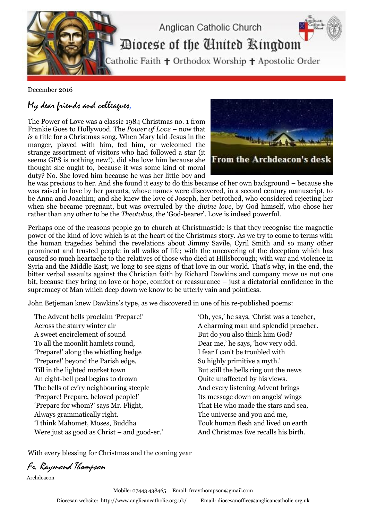

December 2016

## My dear friends and colleagues,

The Power of Love was a classic 1984 Christmas no. 1 from Frankie Goes to Hollywood. The *Power of Love* – now that *is* a title for a Christmas song. When Mary laid Jesus in the manger, played with him, fed him, or welcomed the strange assortment of visitors who had followed a star (it seems GPS is nothing new!), did she love him because she thought she ought to, because it was some kind of moral duty? No. She loved him because he was her little boy and



he was precious to her. And she found it easy to do this because of her own background – because she was raised in love by her parents, whose names were discovered, in a second century manuscript, to be Anna and Joachim; and she knew the love of Joseph, her betrothed, who considered rejecting her when she became pregnant, but was overruled by the *divine love*, by God himself, who chose her rather than any other to be the *Theotokos,* the 'God-bearer'. Love is indeed powerful.

Perhaps one of the reasons people go to church at Christmastide is that they recognise the magnetic power of the kind of love which is at the heart of the Christmas story. As we try to come to terms with the human tragedies behind the revelations about Jimmy Savile, Cyril Smith and so many other prominent and trusted people in all walks of life; with the uncovering of the deception which has caused so much heartache to the relatives of those who died at Hillsborough; with war and violence in Syria and the Middle East; we long to see signs of that love in our world. That's why, in the end, the bitter verbal assaults against the Christian faith by Richard Dawkins and company move us not one bit, because they bring no love or hope, comfort or reassurance – just a dictatorial confidence in the supremacy of Man which deep down we know to be utterly vain and pointless.

John Betjeman knew Dawkins's type, as we discovered in one of his re-published poems:

 The Advent bells proclaim 'Prepare!' Across the starry winter air A sweet encirclement of sound To all the moonlit hamlets round, 'Prepare!' along the whistling hedge 'Prepare!' beyond the Parish edge, Till in the lighted market town An eight-bell peal begins to drown The bells of ev'ry neighbouring steeple 'Prepare! Prepare, beloved people!' 'Prepare for whom?' says Mr. Flight, Always grammatically right. 'I think Mahomet, Moses, Buddha Were just as good as Christ – and good-er.'  'Oh, yes,' he says, 'Christ was a teacher, A charming man and splendid preacher. But do you also think him God? Dear me,' he says, 'how very odd. I fear I can't be troubled with So highly primitive a myth.' But still the bells ring out the news Quite unaffected by his views. And every listening Advent brings Its message down on angels' wings That He who made the stars and sea, The universe and you and me, Took human flesh and lived on earth And Christmas Eve recalls his birth.

With every blessing for Christmas and the coming year

Fr. Raymond Thompson

Archdeacon